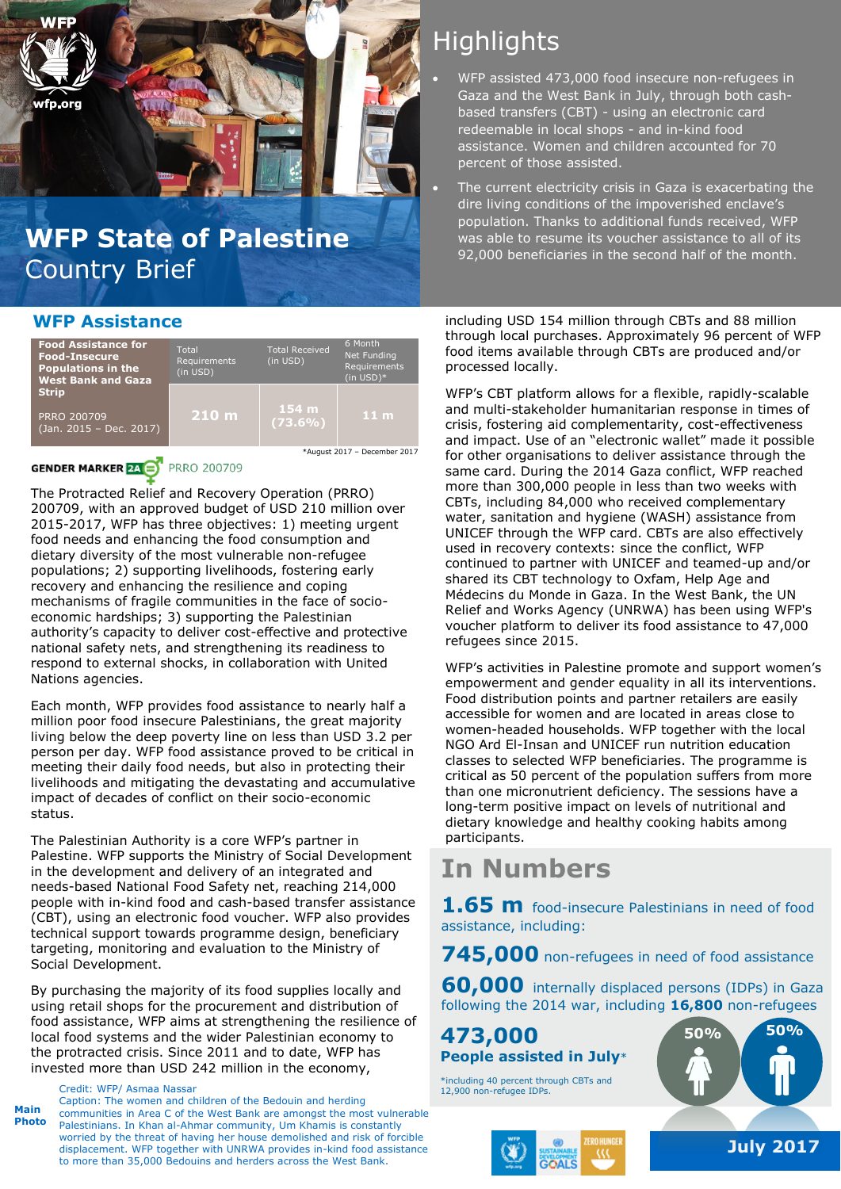

# Country Brief

### **WFP Assistance**



### **GENDER MARKER 24 A**

**PRRO 200709** 

The Protracted Relief and Recovery Operation (PRRO) 200709, with an approved budget of USD 210 million over 2015-2017, WFP has three objectives: 1) meeting urgent food needs and enhancing the food consumption and dietary diversity of the most vulnerable non-refugee populations; 2) supporting livelihoods, fostering early recovery and enhancing the resilience and coping mechanisms of fragile communities in the face of socioeconomic hardships; 3) supporting the Palestinian authority's capacity to deliver cost-effective and protective national safety nets, and strengthening its readiness to respond to external shocks, in collaboration with United Nations agencies.

Each month, WFP provides food assistance to nearly half a million poor food insecure Palestinians, the great majority living below the deep poverty line on less than USD 3.2 per person per day. WFP food assistance proved to be critical in meeting their daily food needs, but also in protecting their livelihoods and mitigating the devastating and accumulative impact of decades of conflict on their socio-economic status.

The Palestinian Authority is a core WFP's partner in Palestine. WFP supports the Ministry of Social Development in the development and delivery of an integrated and needs-based National Food Safety net, reaching 214,000 people with in-kind food and cash-based transfer assistance (CBT), using an electronic food voucher. WFP also provides technical support towards programme design, beneficiary targeting, monitoring and evaluation to the Ministry of Social Development.

By purchasing the majority of its food supplies locally and using retail shops for the procurement and distribution of food assistance, WFP aims at strengthening the resilience of local food systems and the wider Palestinian economy to the protracted crisis. Since 2011 and to date, WFP has invested more than USD 242 million in the economy,

Credit: WFP/ Asmaa Nassar

**Main Photo** Caption: The women and children of the Bedouin and herding communities in Area C of the West Bank are amongst the most vulnerable Palestinians. In Khan al-Ahmar community, Um Khamis is constantly worried by the threat of having her house demolished and risk of forcible displacement. WFP together with UNRWA provides in-kind food assistance to more than 35,000 Bedouins and herders across the West Bank.

# **Highlights**

- WFP assisted 473,000 food insecure non-refugees in Gaza and the West Bank in July, through both cashbased transfers (CBT) - using an electronic card redeemable in local shops - and in-kind food assistance. Women and children accounted for 70 percent of those assisted.
- The current electricity crisis in Gaza is exacerbating the dire living conditions of the impoverished enclave's population. Thanks to additional funds received, WFP WFP State of Palestine **WEP** State to all of its 92,000 beneficiaries in the second half of the month.

including USD 154 million through CBTs and 88 million through local purchases. Approximately 96 percent of WFP food items available through CBTs are produced and/or processed locally.

WFP's CBT platform allows for a flexible, rapidly-scalable and multi-stakeholder humanitarian response in times of crisis, fostering aid complementarity, cost-effectiveness and impact. Use of an "electronic wallet" made it possible for other organisations to deliver assistance through the same card. During the 2014 Gaza conflict, WFP reached more than 300,000 people in less than two weeks with CBTs, including 84,000 who received complementary water, sanitation and hygiene (WASH) assistance from UNICEF through the WFP card. CBTs are also effectively used in recovery contexts: since the conflict, WFP continued to partner with UNICEF and teamed-up and/or shared its CBT technology to Oxfam, Help Age and Médecins du Monde in Gaza. In the West Bank, the UN Relief and Works Agency (UNRWA) has been using WFP's voucher platform to deliver its food assistance to 47,000 refugees since 2015.

WFP's activities in Palestine promote and support women's empowerment and gender equality in all its interventions. Food distribution points and partner retailers are easily accessible for women and are located in areas close to women-headed households. WFP together with the local NGO Ard El-Insan and UNICEF run nutrition education classes to selected WFP beneficiaries. The programme is critical as 50 percent of the population suffers from more than one micronutrient deficiency. The sessions have a long-term positive impact on levels of nutritional and dietary knowledge and healthy cooking habits among participants.

# **In Numbers**

**1.65 m** food-insecure Palestinians in need of food assistance, including:

**745,000** non-refugees in need of food assistance

**60,000** internally displaced persons (IDPs) in Gaza following the 2014 war, including **16,800** non-refugees

**473,000 People assisted in July**\*

\*including 40 percent through CBTs and 12,900 non-refugee IDPs.



**July 2017**